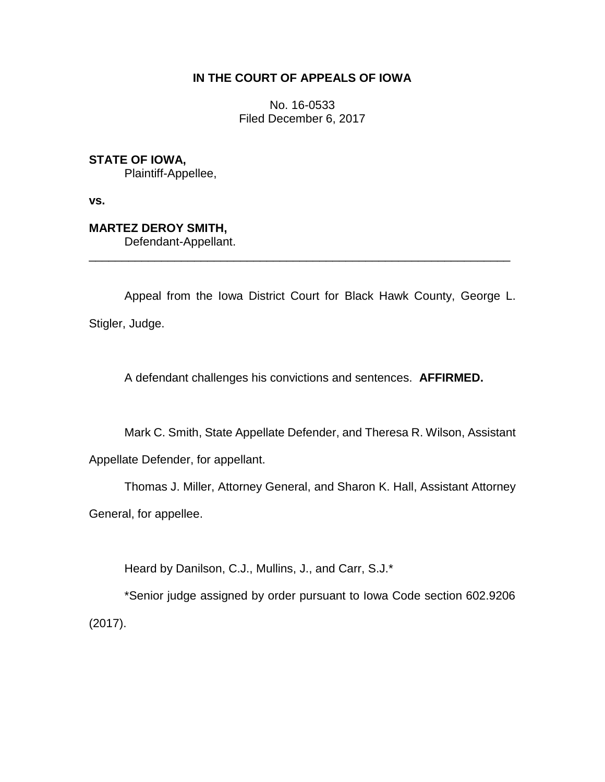# **IN THE COURT OF APPEALS OF IOWA**

No. 16-0533 Filed December 6, 2017

**STATE OF IOWA,**

Plaintiff-Appellee,

**vs.**

**MARTEZ DEROY SMITH,** Defendant-Appellant.

Appeal from the Iowa District Court for Black Hawk County, George L. Stigler, Judge.

\_\_\_\_\_\_\_\_\_\_\_\_\_\_\_\_\_\_\_\_\_\_\_\_\_\_\_\_\_\_\_\_\_\_\_\_\_\_\_\_\_\_\_\_\_\_\_\_\_\_\_\_\_\_\_\_\_\_\_\_\_\_\_\_

A defendant challenges his convictions and sentences. **AFFIRMED.**

Mark C. Smith, State Appellate Defender, and Theresa R. Wilson, Assistant

Appellate Defender, for appellant.

Thomas J. Miller, Attorney General, and Sharon K. Hall, Assistant Attorney General, for appellee.

Heard by Danilson, C.J., Mullins, J., and Carr, S.J.\*

\*Senior judge assigned by order pursuant to Iowa Code section 602.9206 (2017).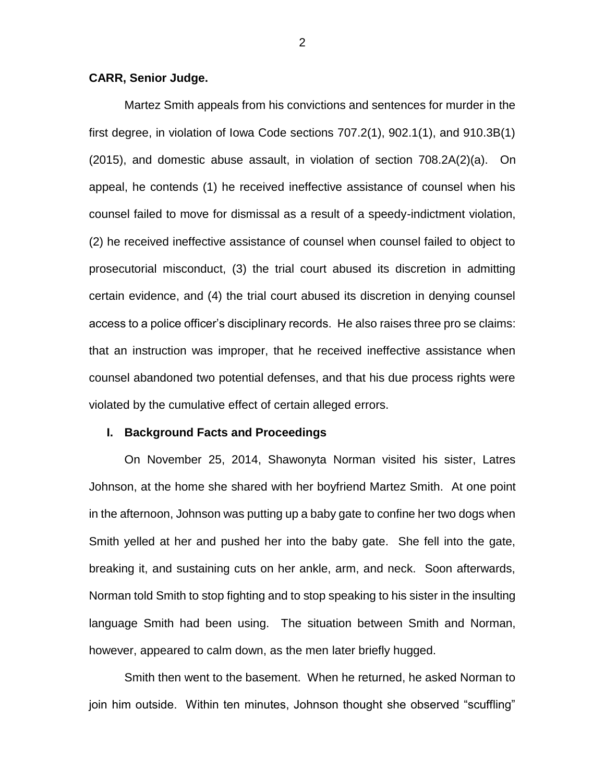# **CARR, Senior Judge.**

Martez Smith appeals from his convictions and sentences for murder in the first degree, in violation of Iowa Code sections 707.2(1), 902.1(1), and 910.3B(1) (2015), and domestic abuse assault, in violation of section 708.2A(2)(a). On appeal, he contends (1) he received ineffective assistance of counsel when his counsel failed to move for dismissal as a result of a speedy-indictment violation, (2) he received ineffective assistance of counsel when counsel failed to object to prosecutorial misconduct, (3) the trial court abused its discretion in admitting certain evidence, and (4) the trial court abused its discretion in denying counsel access to a police officer's disciplinary records. He also raises three pro se claims: that an instruction was improper, that he received ineffective assistance when counsel abandoned two potential defenses, and that his due process rights were violated by the cumulative effect of certain alleged errors.

#### **I. Background Facts and Proceedings**

On November 25, 2014, Shawonyta Norman visited his sister, Latres Johnson, at the home she shared with her boyfriend Martez Smith. At one point in the afternoon, Johnson was putting up a baby gate to confine her two dogs when Smith yelled at her and pushed her into the baby gate. She fell into the gate, breaking it, and sustaining cuts on her ankle, arm, and neck. Soon afterwards, Norman told Smith to stop fighting and to stop speaking to his sister in the insulting language Smith had been using. The situation between Smith and Norman, however, appeared to calm down, as the men later briefly hugged.

Smith then went to the basement. When he returned, he asked Norman to join him outside. Within ten minutes, Johnson thought she observed "scuffling"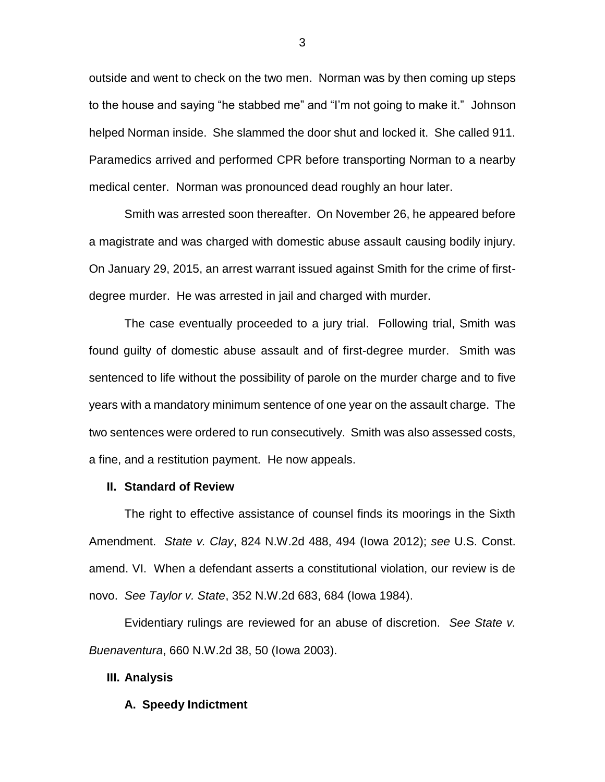outside and went to check on the two men. Norman was by then coming up steps to the house and saying "he stabbed me" and "I'm not going to make it." Johnson helped Norman inside. She slammed the door shut and locked it. She called 911. Paramedics arrived and performed CPR before transporting Norman to a nearby medical center. Norman was pronounced dead roughly an hour later.

Smith was arrested soon thereafter. On November 26, he appeared before a magistrate and was charged with domestic abuse assault causing bodily injury. On January 29, 2015, an arrest warrant issued against Smith for the crime of firstdegree murder. He was arrested in jail and charged with murder.

The case eventually proceeded to a jury trial. Following trial, Smith was found guilty of domestic abuse assault and of first-degree murder. Smith was sentenced to life without the possibility of parole on the murder charge and to five years with a mandatory minimum sentence of one year on the assault charge. The two sentences were ordered to run consecutively. Smith was also assessed costs, a fine, and a restitution payment. He now appeals.

## **II. Standard of Review**

The right to effective assistance of counsel finds its moorings in the Sixth Amendment. *State v. Clay*, 824 N.W.2d 488, 494 (Iowa 2012); *see* U.S. Const. amend. VI. When a defendant asserts a constitutional violation, our review is de novo. *See Taylor v. State*, 352 N.W.2d 683, 684 (Iowa 1984).

Evidentiary rulings are reviewed for an abuse of discretion. *See State v. Buenaventura*, 660 N.W.2d 38, 50 (Iowa 2003).

## **III. Analysis**

#### **A. Speedy Indictment**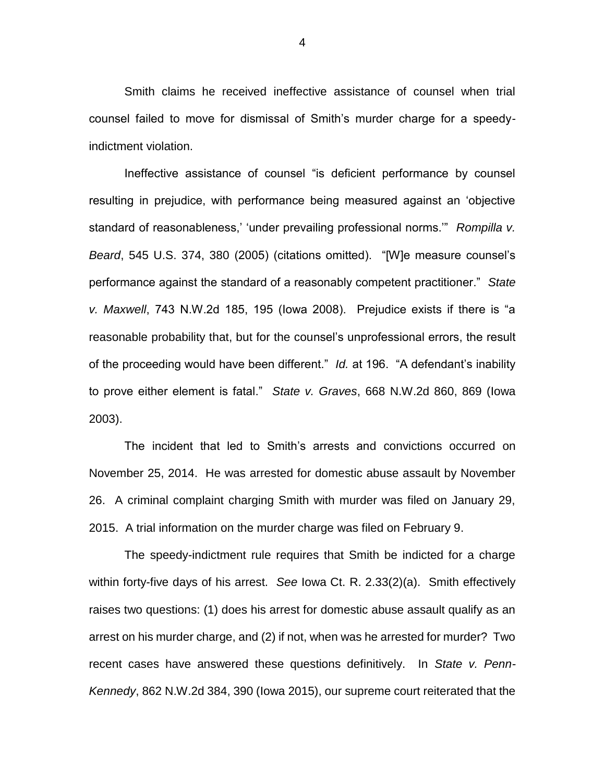Smith claims he received ineffective assistance of counsel when trial counsel failed to move for dismissal of Smith's murder charge for a speedyindictment violation.

Ineffective assistance of counsel "is deficient performance by counsel resulting in prejudice, with performance being measured against an 'objective standard of reasonableness,' 'under prevailing professional norms.'" *Rompilla v. Beard*, 545 U.S. 374, 380 (2005) (citations omitted). "[W]e measure counsel's performance against the standard of a reasonably competent practitioner." *State v. Maxwell*, 743 N.W.2d 185, 195 (Iowa 2008). Prejudice exists if there is "a reasonable probability that, but for the counsel's unprofessional errors, the result of the proceeding would have been different." *Id.* at 196. "A defendant's inability to prove either element is fatal." *State v. Graves*, 668 N.W.2d 860, 869 (Iowa 2003).

The incident that led to Smith's arrests and convictions occurred on November 25, 2014. He was arrested for domestic abuse assault by November 26. A criminal complaint charging Smith with murder was filed on January 29, 2015. A trial information on the murder charge was filed on February 9.

The speedy-indictment rule requires that Smith be indicted for a charge within forty-five days of his arrest. *See* Iowa Ct. R. 2.33(2)(a). Smith effectively raises two questions: (1) does his arrest for domestic abuse assault qualify as an arrest on his murder charge, and (2) if not, when was he arrested for murder? Two recent cases have answered these questions definitively. In *State v. Penn-Kennedy*, 862 N.W.2d 384, 390 (Iowa 2015), our supreme court reiterated that the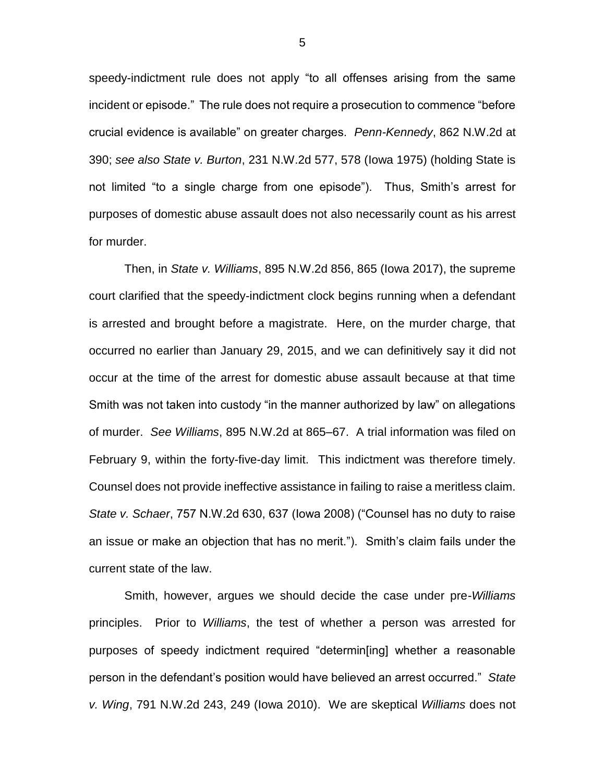speedy-indictment rule does not apply "to all offenses arising from the same incident or episode." The rule does not require a prosecution to commence "before crucial evidence is available" on greater charges. *Penn-Kennedy*, 862 N.W.2d at 390; *see also State v. Burton*, 231 N.W.2d 577, 578 (Iowa 1975) (holding State is not limited "to a single charge from one episode"). Thus, Smith's arrest for purposes of domestic abuse assault does not also necessarily count as his arrest for murder.

Then, in *State v. Williams*, 895 N.W.2d 856, 865 (Iowa 2017), the supreme court clarified that the speedy-indictment clock begins running when a defendant is arrested and brought before a magistrate. Here, on the murder charge, that occurred no earlier than January 29, 2015, and we can definitively say it did not occur at the time of the arrest for domestic abuse assault because at that time Smith was not taken into custody "in the manner authorized by law" on allegations of murder. *See Williams*, 895 N.W.2d at 865–67. A trial information was filed on February 9, within the forty-five-day limit. This indictment was therefore timely. Counsel does not provide ineffective assistance in failing to raise a meritless claim. *State v. Schaer*, 757 N.W.2d 630, 637 (Iowa 2008) ("Counsel has no duty to raise an issue or make an objection that has no merit."). Smith's claim fails under the current state of the law.

Smith, however, argues we should decide the case under pre-*Williams* principles. Prior to *Williams*, the test of whether a person was arrested for purposes of speedy indictment required "determin[ing] whether a reasonable person in the defendant's position would have believed an arrest occurred." *State v. Wing*, 791 N.W.2d 243, 249 (Iowa 2010). We are skeptical *Williams* does not

5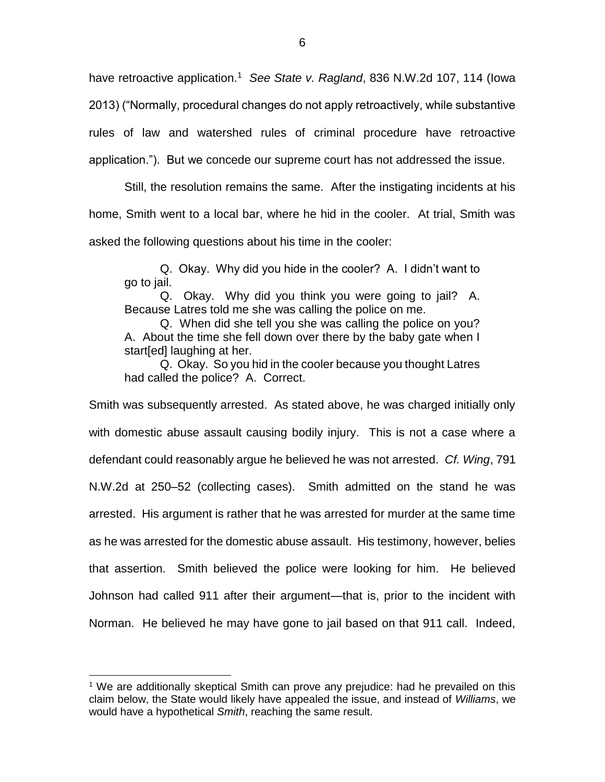have retroactive application.<sup>1</sup> See State v. Ragland, 836 N.W.2d 107, 114 (lowa 2013) ("Normally, procedural changes do not apply retroactively, while substantive rules of law and watershed rules of criminal procedure have retroactive application."). But we concede our supreme court has not addressed the issue.

Still, the resolution remains the same. After the instigating incidents at his home, Smith went to a local bar, where he hid in the cooler. At trial, Smith was asked the following questions about his time in the cooler:

Q. Okay. Why did you hide in the cooler? A. I didn't want to go to jail.

Q. Okay. Why did you think you were going to jail? A. Because Latres told me she was calling the police on me.

Q. When did she tell you she was calling the police on you? A. About the time she fell down over there by the baby gate when I start[ed] laughing at her.

Q. Okay. So you hid in the cooler because you thought Latres had called the police? A. Correct.

Smith was subsequently arrested. As stated above, he was charged initially only with domestic abuse assault causing bodily injury. This is not a case where a defendant could reasonably argue he believed he was not arrested. *Cf. Wing*, 791 N.W.2d at 250–52 (collecting cases). Smith admitted on the stand he was arrested. His argument is rather that he was arrested for murder at the same time as he was arrested for the domestic abuse assault. His testimony, however, belies that assertion. Smith believed the police were looking for him. He believed Johnson had called 911 after their argument—that is, prior to the incident with Norman. He believed he may have gone to jail based on that 911 call. Indeed,

 $\overline{a}$ 

<sup>1</sup> We are additionally skeptical Smith can prove any prejudice: had he prevailed on this claim below, the State would likely have appealed the issue, and instead of *Williams*, we would have a hypothetical *Smith*, reaching the same result.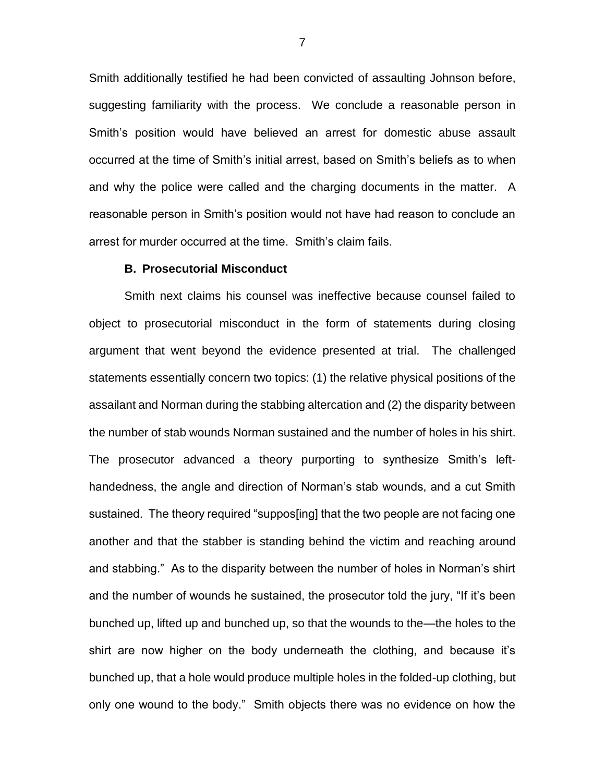Smith additionally testified he had been convicted of assaulting Johnson before, suggesting familiarity with the process. We conclude a reasonable person in Smith's position would have believed an arrest for domestic abuse assault occurred at the time of Smith's initial arrest, based on Smith's beliefs as to when and why the police were called and the charging documents in the matter. A reasonable person in Smith's position would not have had reason to conclude an arrest for murder occurred at the time. Smith's claim fails.

#### **B. Prosecutorial Misconduct**

Smith next claims his counsel was ineffective because counsel failed to object to prosecutorial misconduct in the form of statements during closing argument that went beyond the evidence presented at trial. The challenged statements essentially concern two topics: (1) the relative physical positions of the assailant and Norman during the stabbing altercation and (2) the disparity between the number of stab wounds Norman sustained and the number of holes in his shirt. The prosecutor advanced a theory purporting to synthesize Smith's lefthandedness, the angle and direction of Norman's stab wounds, and a cut Smith sustained. The theory required "suppos[ing] that the two people are not facing one another and that the stabber is standing behind the victim and reaching around and stabbing." As to the disparity between the number of holes in Norman's shirt and the number of wounds he sustained, the prosecutor told the jury, "If it's been bunched up, lifted up and bunched up, so that the wounds to the—the holes to the shirt are now higher on the body underneath the clothing, and because it's bunched up, that a hole would produce multiple holes in the folded-up clothing, but only one wound to the body." Smith objects there was no evidence on how the

7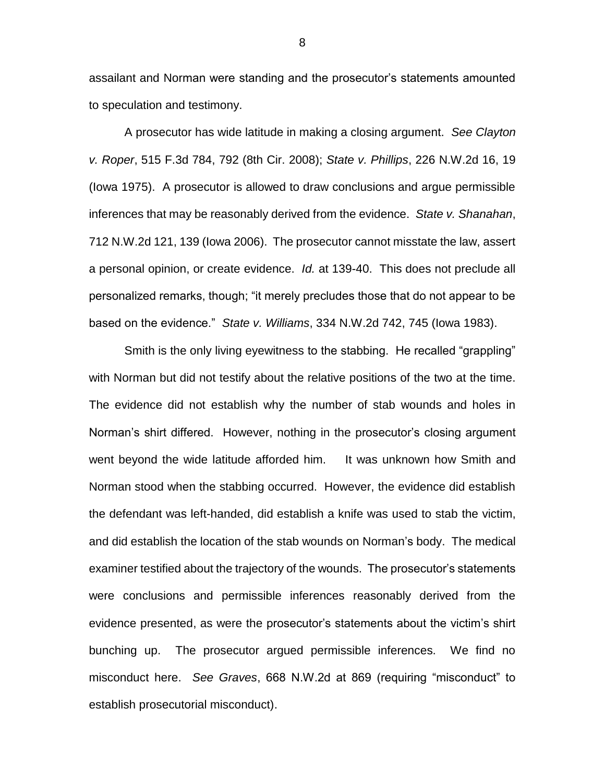assailant and Norman were standing and the prosecutor's statements amounted to speculation and testimony.

A prosecutor has wide latitude in making a closing argument. *See Clayton v. Roper*, 515 F.3d 784, 792 (8th Cir. 2008); *State v. Phillips*, 226 N.W.2d 16, 19 (Iowa 1975). A prosecutor is allowed to draw conclusions and argue permissible inferences that may be reasonably derived from the evidence. *State v. Shanahan*, 712 N.W.2d 121, 139 (Iowa 2006). The prosecutor cannot misstate the law, assert a personal opinion, or create evidence. *Id.* at 139-40. This does not preclude all personalized remarks, though; "it merely precludes those that do not appear to be based on the evidence." *State v. Williams*, 334 N.W.2d 742, 745 (Iowa 1983).

Smith is the only living eyewitness to the stabbing. He recalled "grappling" with Norman but did not testify about the relative positions of the two at the time. The evidence did not establish why the number of stab wounds and holes in Norman's shirt differed. However, nothing in the prosecutor's closing argument went beyond the wide latitude afforded him. It was unknown how Smith and Norman stood when the stabbing occurred. However, the evidence did establish the defendant was left-handed, did establish a knife was used to stab the victim, and did establish the location of the stab wounds on Norman's body. The medical examiner testified about the trajectory of the wounds. The prosecutor's statements were conclusions and permissible inferences reasonably derived from the evidence presented, as were the prosecutor's statements about the victim's shirt bunching up. The prosecutor argued permissible inferences. We find no misconduct here. *See Graves*, 668 N.W.2d at 869 (requiring "misconduct" to establish prosecutorial misconduct).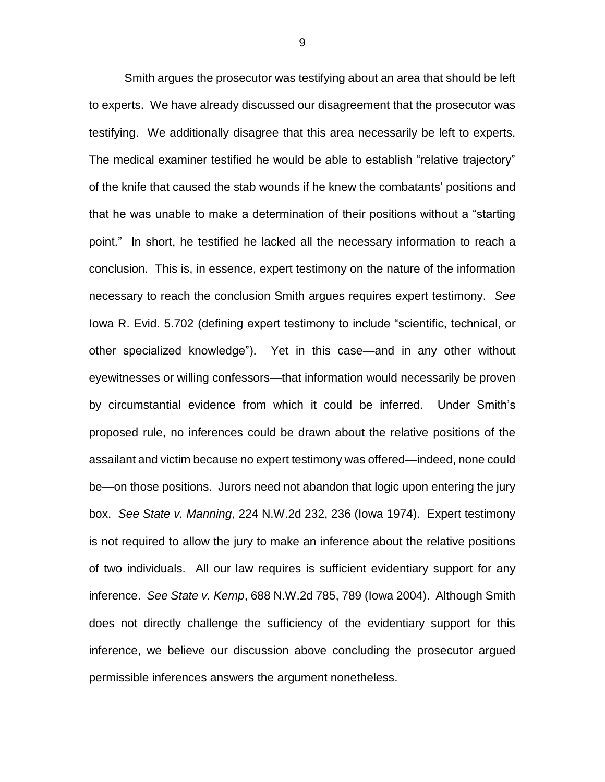Smith argues the prosecutor was testifying about an area that should be left to experts. We have already discussed our disagreement that the prosecutor was testifying. We additionally disagree that this area necessarily be left to experts. The medical examiner testified he would be able to establish "relative trajectory" of the knife that caused the stab wounds if he knew the combatants' positions and that he was unable to make a determination of their positions without a "starting point." In short, he testified he lacked all the necessary information to reach a conclusion. This is, in essence, expert testimony on the nature of the information necessary to reach the conclusion Smith argues requires expert testimony. *See*  Iowa R. Evid. 5.702 (defining expert testimony to include "scientific, technical, or other specialized knowledge"). Yet in this case—and in any other without eyewitnesses or willing confessors—that information would necessarily be proven by circumstantial evidence from which it could be inferred. Under Smith's proposed rule, no inferences could be drawn about the relative positions of the assailant and victim because no expert testimony was offered—indeed, none could be—on those positions. Jurors need not abandon that logic upon entering the jury box. *See State v. Manning*, 224 N.W.2d 232, 236 (Iowa 1974). Expert testimony is not required to allow the jury to make an inference about the relative positions of two individuals. All our law requires is sufficient evidentiary support for any inference. *See State v. Kemp*, 688 N.W.2d 785, 789 (Iowa 2004). Although Smith does not directly challenge the sufficiency of the evidentiary support for this inference, we believe our discussion above concluding the prosecutor argued permissible inferences answers the argument nonetheless.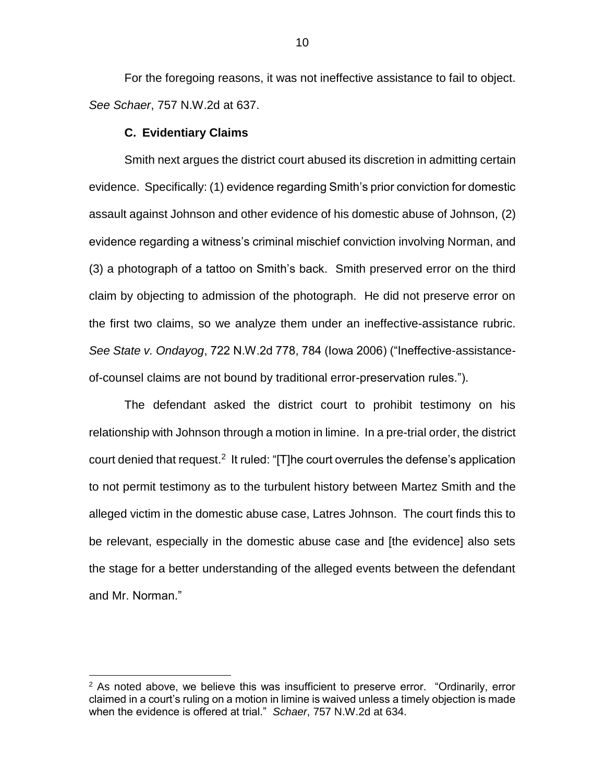For the foregoing reasons, it was not ineffective assistance to fail to object. *See Schaer*, 757 N.W.2d at 637.

## **C. Evidentiary Claims**

 $\overline{a}$ 

Smith next argues the district court abused its discretion in admitting certain evidence. Specifically: (1) evidence regarding Smith's prior conviction for domestic assault against Johnson and other evidence of his domestic abuse of Johnson, (2) evidence regarding a witness's criminal mischief conviction involving Norman, and (3) a photograph of a tattoo on Smith's back. Smith preserved error on the third claim by objecting to admission of the photograph. He did not preserve error on the first two claims, so we analyze them under an ineffective-assistance rubric. *See State v. Ondayog*, 722 N.W.2d 778, 784 (Iowa 2006) ("Ineffective-assistanceof-counsel claims are not bound by traditional error-preservation rules.").

The defendant asked the district court to prohibit testimony on his relationship with Johnson through a motion in limine. In a pre-trial order, the district court denied that request.<sup>2</sup> It ruled: "[T]he court overrules the defense's application to not permit testimony as to the turbulent history between Martez Smith and the alleged victim in the domestic abuse case, Latres Johnson. The court finds this to be relevant, especially in the domestic abuse case and [the evidence] also sets the stage for a better understanding of the alleged events between the defendant and Mr. Norman."

 $2$  As noted above, we believe this was insufficient to preserve error. "Ordinarily, error claimed in a court's ruling on a motion in limine is waived unless a timely objection is made when the evidence is offered at trial." *Schaer*, 757 N.W.2d at 634.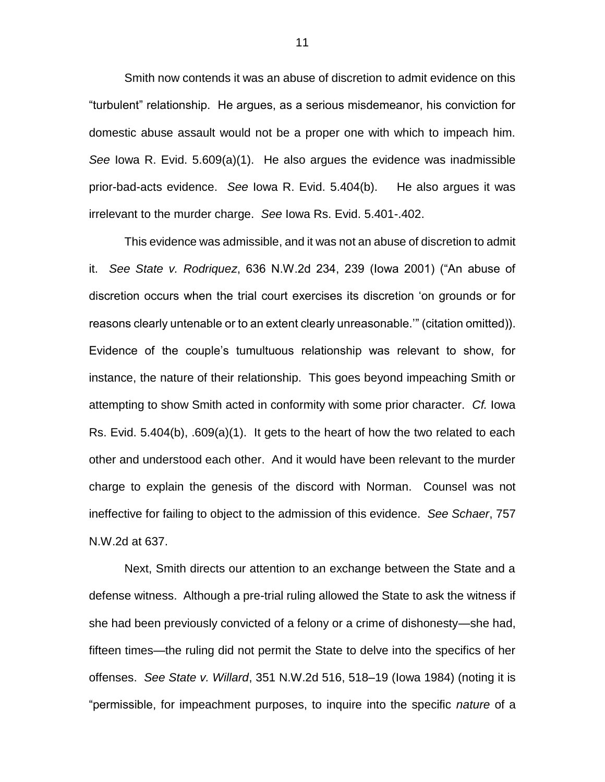Smith now contends it was an abuse of discretion to admit evidence on this "turbulent" relationship. He argues, as a serious misdemeanor, his conviction for domestic abuse assault would not be a proper one with which to impeach him. *See* Iowa R. Evid. 5.609(a)(1). He also argues the evidence was inadmissible prior-bad-acts evidence. *See* Iowa R. Evid. 5.404(b). He also argues it was irrelevant to the murder charge. *See* Iowa Rs. Evid. 5.401-.402.

This evidence was admissible, and it was not an abuse of discretion to admit it. *See State v. Rodriquez*, 636 N.W.2d 234, 239 (Iowa 2001) ("An abuse of discretion occurs when the trial court exercises its discretion 'on grounds or for reasons clearly untenable or to an extent clearly unreasonable.'" (citation omitted)). Evidence of the couple's tumultuous relationship was relevant to show, for instance, the nature of their relationship. This goes beyond impeaching Smith or attempting to show Smith acted in conformity with some prior character. *Cf.* Iowa Rs. Evid. 5.404(b), .609(a)(1). It gets to the heart of how the two related to each other and understood each other. And it would have been relevant to the murder charge to explain the genesis of the discord with Norman. Counsel was not ineffective for failing to object to the admission of this evidence. *See Schaer*, 757 N.W.2d at 637.

Next, Smith directs our attention to an exchange between the State and a defense witness. Although a pre-trial ruling allowed the State to ask the witness if she had been previously convicted of a felony or a crime of dishonesty—she had, fifteen times—the ruling did not permit the State to delve into the specifics of her offenses. *See State v. Willard*, 351 N.W.2d 516, 518–19 (Iowa 1984) (noting it is "permissible, for impeachment purposes, to inquire into the specific *nature* of a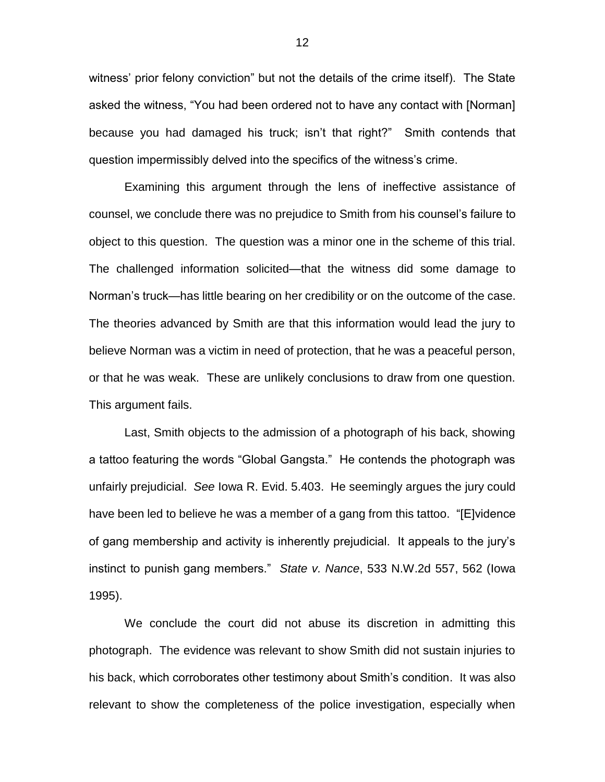witness' prior felony conviction" but not the details of the crime itself). The State asked the witness, "You had been ordered not to have any contact with [Norman] because you had damaged his truck; isn't that right?" Smith contends that question impermissibly delved into the specifics of the witness's crime.

Examining this argument through the lens of ineffective assistance of counsel, we conclude there was no prejudice to Smith from his counsel's failure to object to this question. The question was a minor one in the scheme of this trial. The challenged information solicited—that the witness did some damage to Norman's truck—has little bearing on her credibility or on the outcome of the case. The theories advanced by Smith are that this information would lead the jury to believe Norman was a victim in need of protection, that he was a peaceful person, or that he was weak. These are unlikely conclusions to draw from one question. This argument fails.

Last, Smith objects to the admission of a photograph of his back, showing a tattoo featuring the words "Global Gangsta." He contends the photograph was unfairly prejudicial. *See* Iowa R. Evid. 5.403. He seemingly argues the jury could have been led to believe he was a member of a gang from this tattoo. "[E]vidence of gang membership and activity is inherently prejudicial. It appeals to the jury's instinct to punish gang members." *State v. Nance*, 533 N.W.2d 557, 562 (Iowa 1995).

We conclude the court did not abuse its discretion in admitting this photograph. The evidence was relevant to show Smith did not sustain injuries to his back, which corroborates other testimony about Smith's condition. It was also relevant to show the completeness of the police investigation, especially when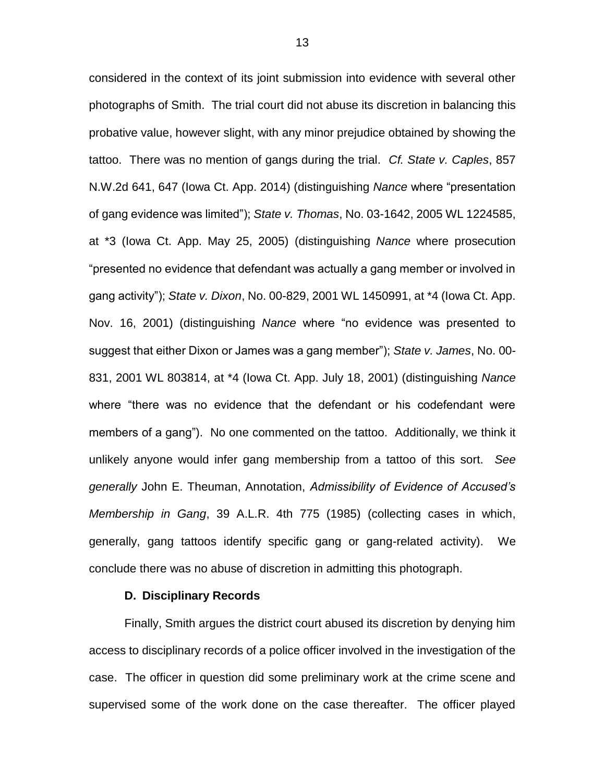considered in the context of its joint submission into evidence with several other photographs of Smith. The trial court did not abuse its discretion in balancing this probative value, however slight, with any minor prejudice obtained by showing the tattoo. There was no mention of gangs during the trial. *Cf. State v. Caples*, 857 N.W.2d 641, 647 (Iowa Ct. App. 2014) (distinguishing *Nance* where "presentation of gang evidence was limited"); *State v. Thomas*, No. 03-1642, 2005 WL 1224585, at \*3 (Iowa Ct. App. May 25, 2005) (distinguishing *Nance* where prosecution "presented no evidence that defendant was actually a gang member or involved in gang activity"); *State v. Dixon*, No. 00-829, 2001 WL 1450991, at \*4 (Iowa Ct. App. Nov. 16, 2001) (distinguishing *Nance* where "no evidence was presented to suggest that either Dixon or James was a gang member"); *State v. James*, No. 00- 831, 2001 WL 803814, at \*4 (Iowa Ct. App. July 18, 2001) (distinguishing *Nance* where "there was no evidence that the defendant or his codefendant were members of a gang"). No one commented on the tattoo. Additionally, we think it unlikely anyone would infer gang membership from a tattoo of this sort. *See generally* John E. Theuman, Annotation, *Admissibility of Evidence of Accused's Membership in Gang*, 39 A.L.R. 4th 775 (1985) (collecting cases in which, generally, gang tattoos identify specific gang or gang-related activity).We conclude there was no abuse of discretion in admitting this photograph.

## **D. Disciplinary Records**

Finally, Smith argues the district court abused its discretion by denying him access to disciplinary records of a police officer involved in the investigation of the case. The officer in question did some preliminary work at the crime scene and supervised some of the work done on the case thereafter. The officer played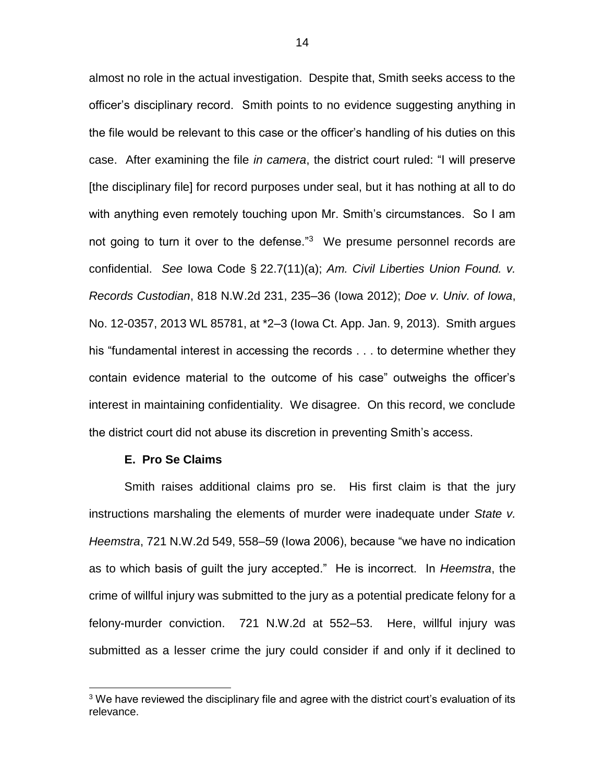almost no role in the actual investigation. Despite that, Smith seeks access to the officer's disciplinary record. Smith points to no evidence suggesting anything in the file would be relevant to this case or the officer's handling of his duties on this case. After examining the file *in camera*, the district court ruled: "I will preserve [the disciplinary file] for record purposes under seal, but it has nothing at all to do with anything even remotely touching upon Mr. Smith's circumstances. So I am not going to turn it over to the defense."<sup>3</sup> We presume personnel records are confidential. *See* Iowa Code § 22.7(11)(a); *Am. Civil Liberties Union Found. v. Records Custodian*, 818 N.W.2d 231, 235–36 (Iowa 2012); *Doe v. Univ. of Iowa*, No. 12-0357, 2013 WL 85781, at \*2–3 (Iowa Ct. App. Jan. 9, 2013). Smith argues his "fundamental interest in accessing the records . . . to determine whether they contain evidence material to the outcome of his case" outweighs the officer's interest in maintaining confidentiality. We disagree. On this record, we conclude the district court did not abuse its discretion in preventing Smith's access.

## **E. Pro Se Claims**

 $\overline{a}$ 

Smith raises additional claims pro se. His first claim is that the jury instructions marshaling the elements of murder were inadequate under *State v. Heemstra*, 721 N.W.2d 549, 558–59 (Iowa 2006), because "we have no indication as to which basis of guilt the jury accepted." He is incorrect. In *Heemstra*, the crime of willful injury was submitted to the jury as a potential predicate felony for a felony-murder conviction. 721 N.W.2d at 552–53. Here, willful injury was submitted as a lesser crime the jury could consider if and only if it declined to

 $3$  We have reviewed the disciplinary file and agree with the district court's evaluation of its relevance.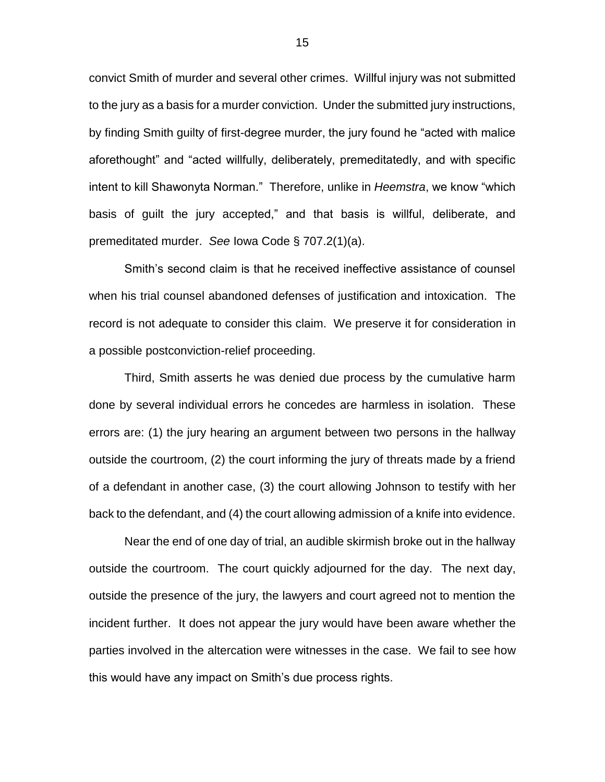convict Smith of murder and several other crimes. Willful injury was not submitted to the jury as a basis for a murder conviction. Under the submitted jury instructions, by finding Smith guilty of first-degree murder, the jury found he "acted with malice aforethought" and "acted willfully, deliberately, premeditatedly, and with specific intent to kill Shawonyta Norman." Therefore, unlike in *Heemstra*, we know "which basis of guilt the jury accepted," and that basis is willful, deliberate, and premeditated murder. *See* Iowa Code § 707.2(1)(a).

Smith's second claim is that he received ineffective assistance of counsel when his trial counsel abandoned defenses of justification and intoxication. The record is not adequate to consider this claim. We preserve it for consideration in a possible postconviction-relief proceeding.

Third, Smith asserts he was denied due process by the cumulative harm done by several individual errors he concedes are harmless in isolation. These errors are: (1) the jury hearing an argument between two persons in the hallway outside the courtroom, (2) the court informing the jury of threats made by a friend of a defendant in another case, (3) the court allowing Johnson to testify with her back to the defendant, and (4) the court allowing admission of a knife into evidence.

Near the end of one day of trial, an audible skirmish broke out in the hallway outside the courtroom. The court quickly adjourned for the day. The next day, outside the presence of the jury, the lawyers and court agreed not to mention the incident further. It does not appear the jury would have been aware whether the parties involved in the altercation were witnesses in the case. We fail to see how this would have any impact on Smith's due process rights.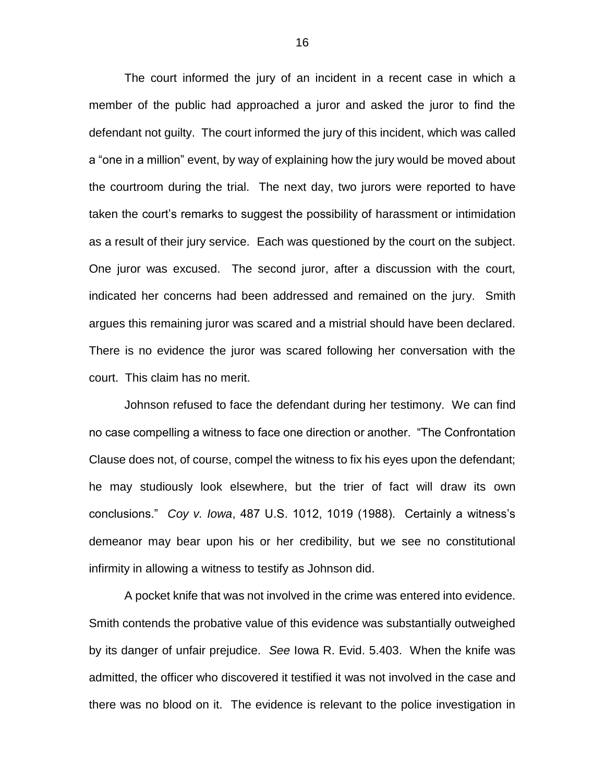The court informed the jury of an incident in a recent case in which a member of the public had approached a juror and asked the juror to find the defendant not guilty. The court informed the jury of this incident, which was called a "one in a million" event, by way of explaining how the jury would be moved about the courtroom during the trial. The next day, two jurors were reported to have taken the court's remarks to suggest the possibility of harassment or intimidation as a result of their jury service. Each was questioned by the court on the subject. One juror was excused. The second juror, after a discussion with the court, indicated her concerns had been addressed and remained on the jury. Smith argues this remaining juror was scared and a mistrial should have been declared. There is no evidence the juror was scared following her conversation with the court. This claim has no merit.

Johnson refused to face the defendant during her testimony. We can find no case compelling a witness to face one direction or another. "The Confrontation Clause does not, of course, compel the witness to fix his eyes upon the defendant; he may studiously look elsewhere, but the trier of fact will draw its own conclusions." *Coy v. Iowa*, 487 U.S. 1012, 1019 (1988). Certainly a witness's demeanor may bear upon his or her credibility, but we see no constitutional infirmity in allowing a witness to testify as Johnson did.

A pocket knife that was not involved in the crime was entered into evidence. Smith contends the probative value of this evidence was substantially outweighed by its danger of unfair prejudice. *See* Iowa R. Evid. 5.403. When the knife was admitted, the officer who discovered it testified it was not involved in the case and there was no blood on it. The evidence is relevant to the police investigation in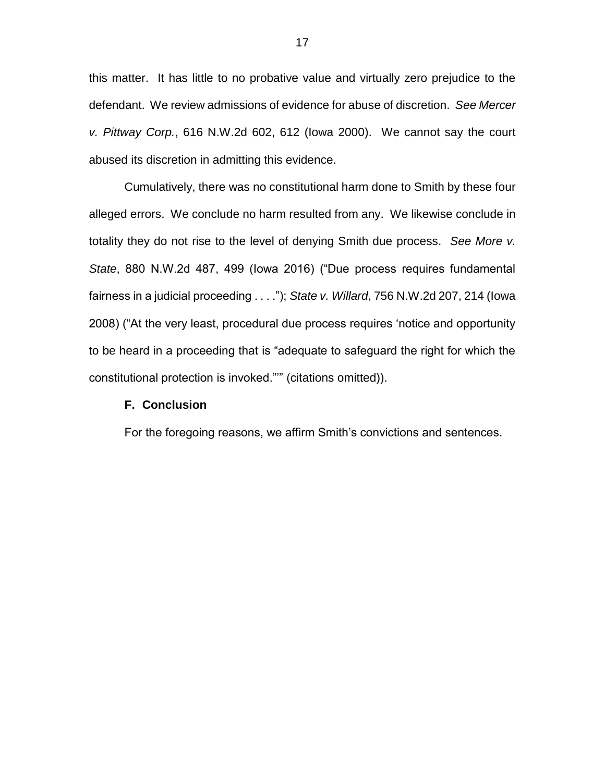this matter. It has little to no probative value and virtually zero prejudice to the defendant. We review admissions of evidence for abuse of discretion. *See Mercer v. Pittway Corp.*, 616 N.W.2d 602, 612 (Iowa 2000). We cannot say the court abused its discretion in admitting this evidence.

Cumulatively, there was no constitutional harm done to Smith by these four alleged errors. We conclude no harm resulted from any. We likewise conclude in totality they do not rise to the level of denying Smith due process. *See More v. State*, 880 N.W.2d 487, 499 (Iowa 2016) ("Due process requires fundamental fairness in a judicial proceeding . . . ."); *State v. Willard*, 756 N.W.2d 207, 214 (Iowa 2008) ("At the very least, procedural due process requires 'notice and opportunity to be heard in a proceeding that is "adequate to safeguard the right for which the constitutional protection is invoked."'" (citations omitted)).

# **F. Conclusion**

For the foregoing reasons, we affirm Smith's convictions and sentences.